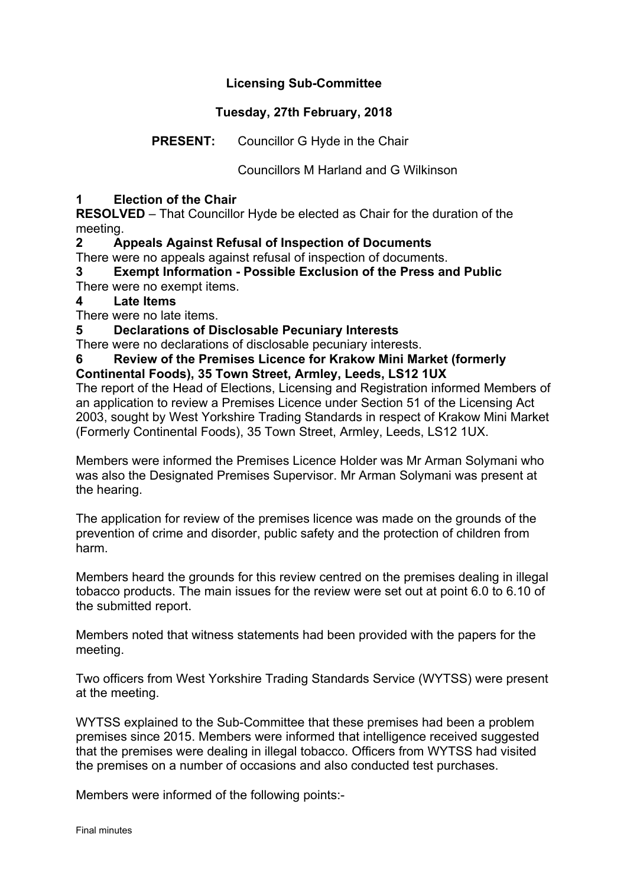# **Licensing Sub-Committee**

# **Tuesday, 27th February, 2018**

# **PRESENT:** Councillor G Hyde in the Chair

Councillors M Harland and G Wilkinson

### **1 Election of the Chair**

**RESOLVED** – That Councillor Hyde be elected as Chair for the duration of the meeting.

## **2 Appeals Against Refusal of Inspection of Documents**

There were no appeals against refusal of inspection of documents.

**3 Exempt Information - Possible Exclusion of the Press and Public** There were no exempt items.

#### **4 Late Items**

There were no late items.

**5 Declarations of Disclosable Pecuniary Interests**

There were no declarations of disclosable pecuniary interests.

#### **6 Review of the Premises Licence for Krakow Mini Market (formerly Continental Foods), 35 Town Street, Armley, Leeds, LS12 1UX**

The report of the Head of Elections, Licensing and Registration informed Members of an application to review a Premises Licence under Section 51 of the Licensing Act 2003, sought by West Yorkshire Trading Standards in respect of Krakow Mini Market (Formerly Continental Foods), 35 Town Street, Armley, Leeds, LS12 1UX.

Members were informed the Premises Licence Holder was Mr Arman Solymani who was also the Designated Premises Supervisor. Mr Arman Solymani was present at the hearing.

The application for review of the premises licence was made on the grounds of the prevention of crime and disorder, public safety and the protection of children from harm.

Members heard the grounds for this review centred on the premises dealing in illegal tobacco products. The main issues for the review were set out at point 6.0 to 6.10 of the submitted report.

Members noted that witness statements had been provided with the papers for the meeting.

Two officers from West Yorkshire Trading Standards Service (WYTSS) were present at the meeting.

WYTSS explained to the Sub-Committee that these premises had been a problem premises since 2015. Members were informed that intelligence received suggested that the premises were dealing in illegal tobacco. Officers from WYTSS had visited the premises on a number of occasions and also conducted test purchases.

Members were informed of the following points:-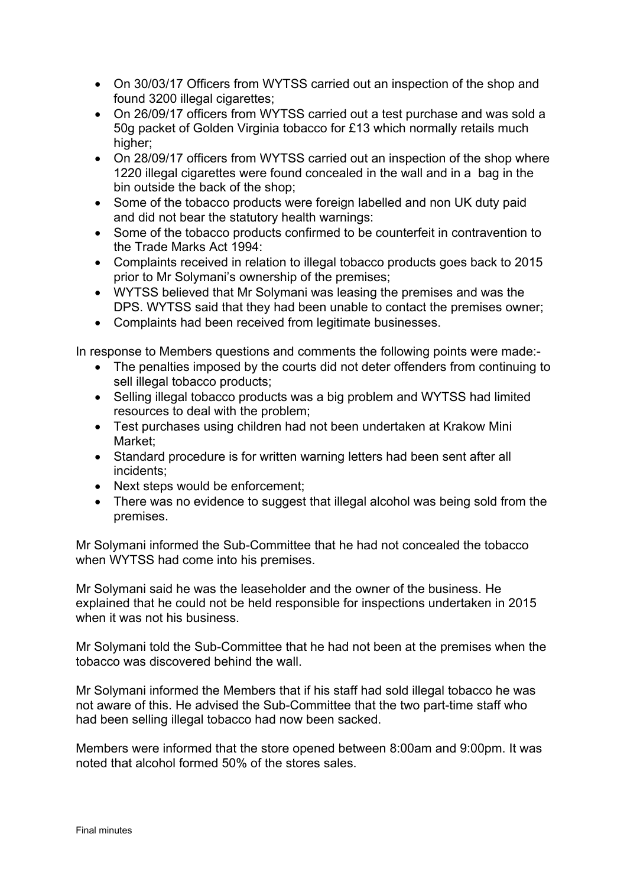- On 30/03/17 Officers from WYTSS carried out an inspection of the shop and found 3200 illegal cigarettes;
- On 26/09/17 officers from WYTSS carried out a test purchase and was sold a 50g packet of Golden Virginia tobacco for £13 which normally retails much higher;
- On 28/09/17 officers from WYTSS carried out an inspection of the shop where 1220 illegal cigarettes were found concealed in the wall and in a bag in the bin outside the back of the shop;
- Some of the tobacco products were foreign labelled and non UK duty paid and did not bear the statutory health warnings:
- Some of the tobacco products confirmed to be counterfeit in contravention to the Trade Marks Act 1994:
- Complaints received in relation to illegal tobacco products goes back to 2015 prior to Mr Solymani's ownership of the premises;
- WYTSS believed that Mr Solymani was leasing the premises and was the DPS. WYTSS said that they had been unable to contact the premises owner;
- Complaints had been received from legitimate businesses.

In response to Members questions and comments the following points were made:-

- The penalties imposed by the courts did not deter offenders from continuing to sell illegal tobacco products;
- Selling illegal tobacco products was a big problem and WYTSS had limited resources to deal with the problem;
- Test purchases using children had not been undertaken at Krakow Mini Market;
- Standard procedure is for written warning letters had been sent after all incidents;
- Next steps would be enforcement;
- There was no evidence to suggest that illegal alcohol was being sold from the premises.

Mr Solymani informed the Sub-Committee that he had not concealed the tobacco when WYTSS had come into his premises.

Mr Solymani said he was the leaseholder and the owner of the business. He explained that he could not be held responsible for inspections undertaken in 2015 when it was not his business.

Mr Solymani told the Sub-Committee that he had not been at the premises when the tobacco was discovered behind the wall.

Mr Solymani informed the Members that if his staff had sold illegal tobacco he was not aware of this. He advised the Sub-Committee that the two part-time staff who had been selling illegal tobacco had now been sacked.

Members were informed that the store opened between 8:00am and 9:00pm. It was noted that alcohol formed 50% of the stores sales.